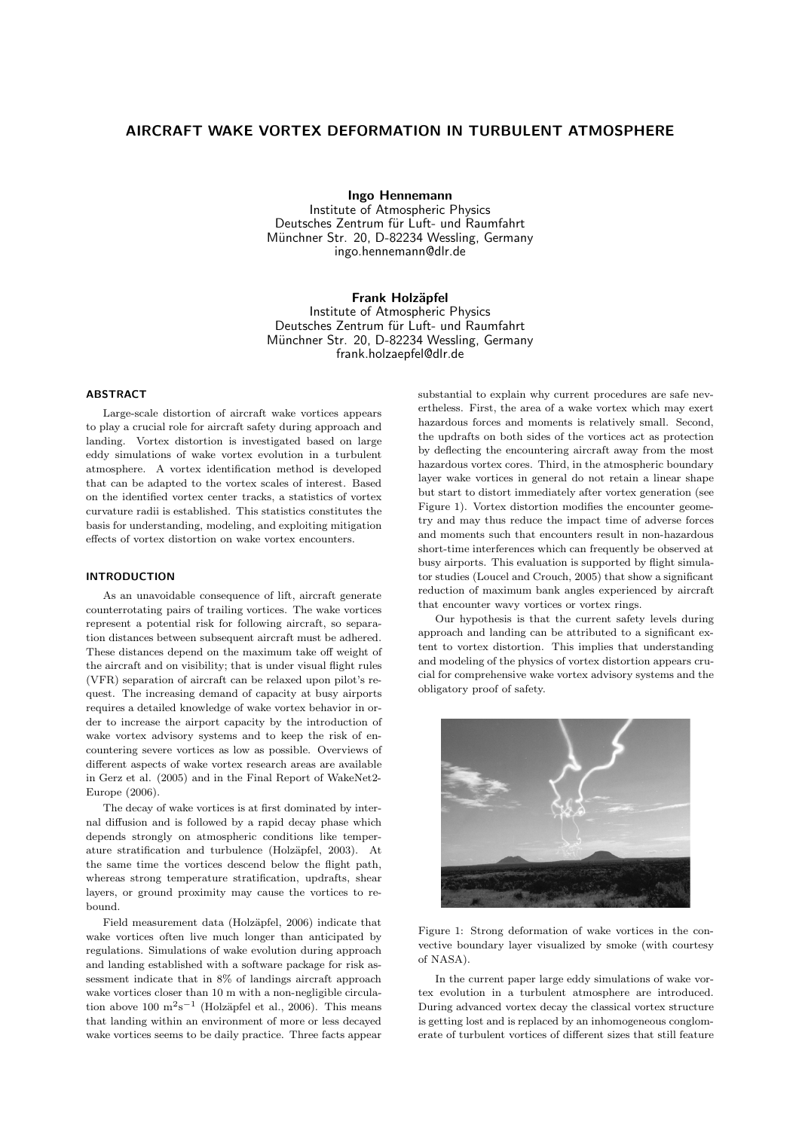# AIRCRAFT WAKE VORTEX DEFORMATION IN TURBULENT ATMOSPHERE

Ingo Hennemann

Institute of Atmospheric Physics Deutsches Zentrum für Luft- und Raumfahrt Münchner Str. 20, D-82234 Wessling, Germany ingo.hennemann@dlr.de

Frank Holzäpfel

Institute of Atmospheric Physics Deutsches Zentrum für Luft- und Raumfahrt Münchner Str. 20, D-82234 Wessling, Germany frank.holzaepfel@dlr.de

# **ABSTRACT**

Large-scale distortion of aircraft wake vortices appears to play a crucial role for aircraft safety during approach and landing. Vortex distortion is investigated based on large eddy simulations of wake vortex evolution in a turbulent atmosphere. A vortex identification method is developed that can be adapted to the vortex scales of interest. Based on the identified vortex center tracks, a statistics of vortex curvature radii is established. This statistics constitutes the basis for understanding, modeling, and exploiting mitigation effects of vortex distortion on wake vortex encounters.

### INTRODUCTION

As an unavoidable consequence of lift, aircraft generate counterrotating pairs of trailing vortices. The wake vortices represent a potential risk for following aircraft, so separation distances between subsequent aircraft must be adhered. These distances depend on the maximum take off weight of the aircraft and on visibility; that is under visual flight rules (VFR) separation of aircraft can be relaxed upon pilot's request. The increasing demand of capacity at busy airports requires a detailed knowledge of wake vortex behavior in order to increase the airport capacity by the introduction of wake vortex advisory systems and to keep the risk of encountering severe vortices as low as possible. Overviews of different aspects of wake vortex research areas are available in Gerz et al. (2005) and in the Final Report of WakeNet2- Europe (2006).

The decay of wake vortices is at first dominated by internal diffusion and is followed by a rapid decay phase which depends strongly on atmospheric conditions like temperature stratification and turbulence (Holzäpfel, 2003). At the same time the vortices descend below the flight path, whereas strong temperature stratification, updrafts, shear layers, or ground proximity may cause the vortices to rebound.

Field measurement data (Holzäpfel, 2006) indicate that wake vortices often live much longer than anticipated by regulations. Simulations of wake evolution during approach and landing established with a software package for risk assessment indicate that in 8% of landings aircraft approach wake vortices closer than 10 m with a non-negligible circulation above 100  $\mathrm{m}^2\mathrm{s}^{-1}$  (Holzäpfel et al., 2006). This means that landing within an environment of more or less decayed wake vortices seems to be daily practice. Three facts appear

substantial to explain why current procedures are safe nevertheless. First, the area of a wake vortex which may exert hazardous forces and moments is relatively small. Second, the updrafts on both sides of the vortices act as protection by deflecting the encountering aircraft away from the most hazardous vortex cores. Third, in the atmospheric boundary layer wake vortices in general do not retain a linear shape but start to distort immediately after vortex generation (see Figure 1). Vortex distortion modifies the encounter geometry and may thus reduce the impact time of adverse forces and moments such that encounters result in non-hazardous short-time interferences which can frequently be observed at busy airports. This evaluation is supported by flight simulator studies (Loucel and Crouch, 2005) that show a significant reduction of maximum bank angles experienced by aircraft that encounter wavy vortices or vortex rings.

Our hypothesis is that the current safety levels during approach and landing can be attributed to a significant extent to vortex distortion. This implies that understanding and modeling of the physics of vortex distortion appears crucial for comprehensive wake vortex advisory systems and the obligatory proof of safety.



Figure 1: Strong deformation of wake vortices in the convective boundary layer visualized by smoke (with courtesy of NASA).

In the current paper large eddy simulations of wake vortex evolution in a turbulent atmosphere are introduced. During advanced vortex decay the classical vortex structure is getting lost and is replaced by an inhomogeneous conglomerate of turbulent vortices of different sizes that still feature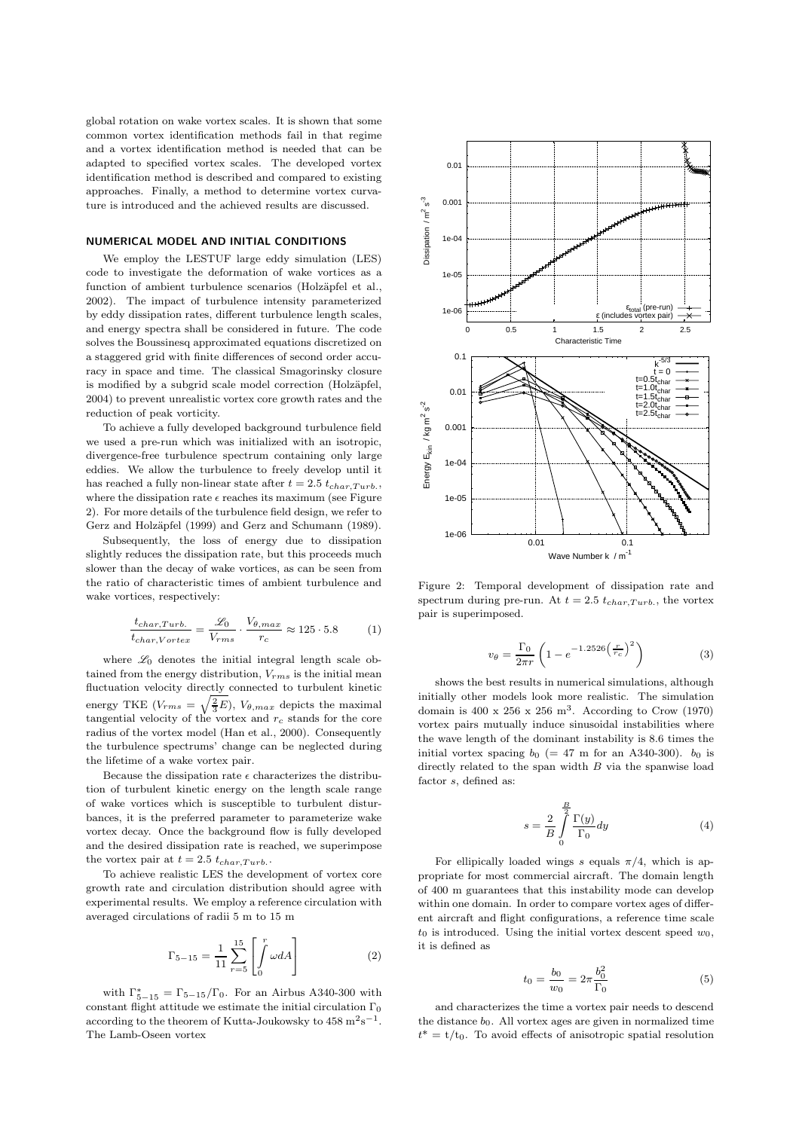global rotation on wake vortex scales. It is shown that some common vortex identification methods fail in that regime and a vortex identification method is needed that can be adapted to specified vortex scales. The developed vortex identification method is described and compared to existing approaches. Finally, a method to determine vortex curvature is introduced and the achieved results are discussed.

# NUMERICAL MODEL AND INITIAL CONDITIONS

We employ the LESTUF large eddy simulation (LES) code to investigate the deformation of wake vortices as a function of ambient turbulence scenarios (Holzäpfel et al., 2002). The impact of turbulence intensity parameterized by eddy dissipation rates, different turbulence length scales, and energy spectra shall be considered in future. The code solves the Boussinesq approximated equations discretized on a staggered grid with finite differences of second order accuracy in space and time. The classical Smagorinsky closure is modified by a subgrid scale model correction (Holzäpfel, 2004) to prevent unrealistic vortex core growth rates and the reduction of peak vorticity.

To achieve a fully developed background turbulence field we used a pre-run which was initialized with an isotropic, divergence-free turbulence spectrum containing only large eddies. We allow the turbulence to freely develop until it has reached a fully non-linear state after  $t = 2.5 t_{char,Turb}$ , where the dissipation rate  $\epsilon$  reaches its maximum (see Figure 2). For more details of the turbulence field design, we refer to Gerz and Holzäpfel (1999) and Gerz and Schumann (1989).

Subsequently, the loss of energy due to dissipation slightly reduces the dissipation rate, but this proceeds much slower than the decay of wake vortices, as can be seen from the ratio of characteristic times of ambient turbulence and wake vortices, respectively:

$$
\frac{t_{char,Turb.}}{t_{char,Vortex}} = \frac{\mathcal{L}_0}{V_{rms}} \cdot \frac{V_{\theta,max}}{r_c} \approx 125 \cdot 5.8
$$
 (1)

where  $\mathscr{L}_0$  denotes the initial integral length scale obtained from the energy distribution,  $V_{rms}$  is the initial mean fluctuation velocity directly connected to turbulent kinetic energy TKE  $(V_{rms} = \sqrt{\frac{2}{3}E})$ ,  $V_{\theta,max}$  depicts the maximal tangential velocity of the vortex and  $r_c$  stands for the core radius of the vortex model (Han et al., 2000). Consequently the turbulence spectrums' change can be neglected during the lifetime of a wake vortex pair.

Because the dissipation rate  $\epsilon$  characterizes the distribution of turbulent kinetic energy on the length scale range of wake vortices which is susceptible to turbulent disturbances, it is the preferred parameter to parameterize wake vortex decay. Once the background flow is fully developed and the desired dissipation rate is reached, we superimpose the vortex pair at  $t = 2.5 t_{char,Turb}$ .

To achieve realistic LES the development of vortex core growth rate and circulation distribution should agree with experimental results. We employ a reference circulation with averaged circulations of radii 5 m to 15 m

$$
\Gamma_{5-15} = \frac{1}{11} \sum_{r=5}^{15} \left[ \int_0^r \omega dA \right] \tag{2}
$$

with  $\Gamma_{5-15}^* = \Gamma_{5-15}/\Gamma_0$ . For an Airbus A340-300 with constant flight attitude we estimate the initial circulation  $\Gamma_0$ according to the theorem of Kutta-Joukowsky to  $458 \text{ m}^2 \text{s}^{-1}$ . The Lamb-Oseen vortex



Figure 2: Temporal development of dissipation rate and spectrum during pre-run. At  $t = 2.5 t_{char, Turb.}$ , the vortex pair is superimposed.

$$
v_{\theta} = \frac{\Gamma_0}{2\pi r} \left( 1 - e^{-1.2526 \left( \frac{r}{r_c} \right)^2} \right)
$$
 (3)

shows the best results in numerical simulations, although initially other models look more realistic. The simulation domain is  $400 \times 256 \times 256$  m<sup>3</sup>. According to Crow (1970) vortex pairs mutually induce sinusoidal instabilities where the wave length of the dominant instability is 8.6 times the initial vortex spacing  $b_0$  (= 47 m for an A340-300).  $b_0$  is directly related to the span width  $B$  via the spanwise load factor s, defined as:

$$
s = \frac{2}{B} \int_{0}^{\frac{B}{2}} \frac{\Gamma(y)}{\Gamma_0} dy
$$
 (4)

For ellipically loaded wings s equals  $\pi/4$ , which is appropriate for most commercial aircraft. The domain length of 400 m guarantees that this instability mode can develop within one domain. In order to compare vortex ages of different aircraft and flight configurations, a reference time scale  $t_0$  is introduced. Using the initial vortex descent speed  $w_0$ , it is defined as

$$
t_0 = \frac{b_0}{w_0} = 2\pi \frac{b_0^2}{\Gamma_0} \tag{5}
$$

and characterizes the time a vortex pair needs to descend the distance  $b_0$ . All vortex ages are given in normalized time  $t^* = t/t_0$ . To avoid effects of anisotropic spatial resolution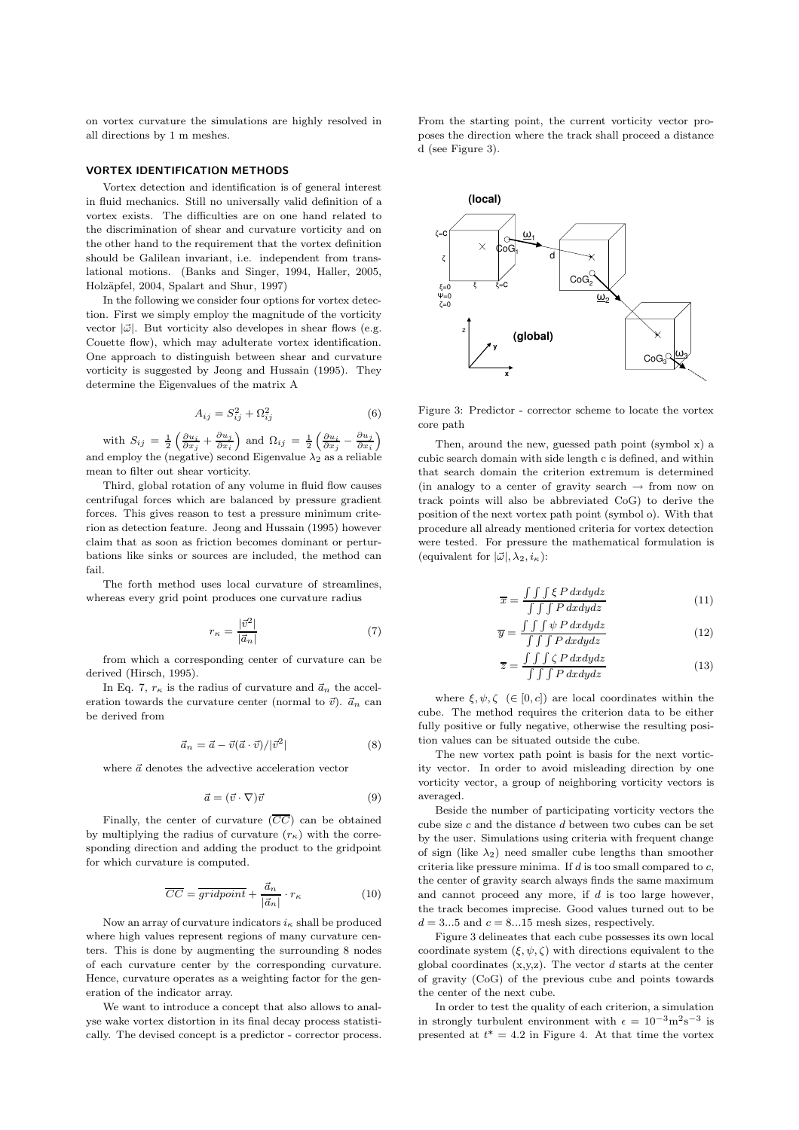on vortex curvature the simulations are highly resolved in all directions by 1 m meshes.

# VORTEX IDENTIFICATION METHODS

Vortex detection and identification is of general interest in fluid mechanics. Still no universally valid definition of a vortex exists. The difficulties are on one hand related to the discrimination of shear and curvature vorticity and on the other hand to the requirement that the vortex definition should be Galilean invariant, i.e. independent from translational motions. (Banks and Singer, 1994, Haller, 2005, Holz¨apfel, 2004, Spalart and Shur, 1997)

In the following we consider four options for vortex detection. First we simply employ the magnitude of the vorticity vector  $|\vec{\omega}|$ . But vorticity also developes in shear flows (e.g. Couette flow), which may adulterate vortex identification. One approach to distinguish between shear and curvature vorticity is suggested by Jeong and Hussain (1995). They determine the Eigenvalues of the matrix A

$$
A_{ij} = S_{ij}^2 + \Omega_{ij}^2 \tag{6}
$$

with  $S_{ij} = \frac{1}{2} \left( \frac{\partial u_i}{\partial x_j} + \frac{\partial u_j}{\partial x_i} \right)$  and  $\Omega_{ij} = \frac{1}{2} \left( \frac{\partial u_i}{\partial x_j} - \frac{\partial u_j}{\partial x_i} \right)$ and employ the (negative) second Eigenvalue  $\lambda_2$  as a reliable mean to filter out shear vorticity.

Third, global rotation of any volume in fluid flow causes centrifugal forces which are balanced by pressure gradient forces. This gives reason to test a pressure minimum criterion as detection feature. Jeong and Hussain (1995) however claim that as soon as friction becomes dominant or perturbations like sinks or sources are included, the method can fail.

The forth method uses local curvature of streamlines, whereas every grid point produces one curvature radius

$$
r_{\kappa} = \frac{|\vec{v}^2|}{|\vec{a}_n|} \tag{7}
$$

from which a corresponding center of curvature can be derived (Hirsch, 1995).

In Eq. 7,  $r_{\kappa}$  is the radius of curvature and  $\vec{a}_n$  the acceleration towards the curvature center (normal to  $\vec{v}$ ).  $\vec{a}_n$  can be derived from

$$
\vec{a}_n = \vec{a} - \vec{v}(\vec{a} \cdot \vec{v}) / |\vec{v}^2| \tag{8}
$$

where  $\vec{a}$  denotes the advective acceleration vector

$$
\vec{a} = (\vec{v} \cdot \nabla)\vec{v} \tag{9}
$$

Finally, the center of curvature  $(\overline{CC})$  can be obtained by multiplying the radius of curvature  $(r_{\kappa})$  with the corresponding direction and adding the product to the gridpoint for which curvature is computed.

$$
\overline{CC} = \overline{gridpoint} + \frac{\vec{a}_n}{|\vec{a}_n|} \cdot r_{\kappa}
$$
 (10)

Now an array of curvature indicators  $i_{\kappa}$  shall be produced where high values represent regions of many curvature centers. This is done by augmenting the surrounding 8 nodes of each curvature center by the corresponding curvature. Hence, curvature operates as a weighting factor for the generation of the indicator array.

We want to introduce a concept that also allows to analyse wake vortex distortion in its final decay process statistically. The devised concept is a predictor - corrector process.

From the starting point, the current vorticity vector proposes the direction where the track shall proceed a distance d (see Figure 3).



Figure 3: Predictor - corrector scheme to locate the vortex core path

Then, around the new, guessed path point (symbol x) a cubic search domain with side length c is defined, and within that search domain the criterion extremum is determined (in analogy to a center of gravity search  $\rightarrow$  from now on track points will also be abbreviated CoG) to derive the position of the next vortex path point (symbol o). With that procedure all already mentioned criteria for vortex detection were tested. For pressure the mathematical formulation is (equivalent for  $|\vec{\omega}|, \lambda_2, i_{\kappa}$ ):

$$
\overline{x} = \frac{\int \int \int \xi \, P \, dxdydz}{\int \int \int P \, dxdydz} \tag{11}
$$

$$
\overline{y} = \frac{\int \int \int \psi \, P \, dxdydz}{\int \int \int P \, dxdydz} \tag{12}
$$

$$
\overline{z} = \frac{\int \int \int \zeta \, P \, dxdydz}{\int \int \int P \, dxdydz} \tag{13}
$$

where  $\xi, \psi, \zeta \in [0, c]$  are local coordinates within the cube. The method requires the criterion data to be either fully positive or fully negative, otherwise the resulting position values can be situated outside the cube.

The new vortex path point is basis for the next vorticity vector. In order to avoid misleading direction by one vorticity vector, a group of neighboring vorticity vectors is averaged.

Beside the number of participating vorticity vectors the cube size  $c$  and the distance  $d$  between two cubes can be set by the user. Simulations using criteria with frequent change of sign (like  $\lambda_2$ ) need smaller cube lengths than smoother criteria like pressure minima. If  $d$  is too small compared to  $c$ , the center of gravity search always finds the same maximum and cannot proceed any more, if  $d$  is too large however, the track becomes imprecise. Good values turned out to be  $d = 3...5$  and  $c = 8...15$  mesh sizes, respectively.

Figure 3 delineates that each cube possesses its own local coordinate system  $(\xi, \psi, \zeta)$  with directions equivalent to the global coordinates  $(x,y,z)$ . The vector d starts at the center of gravity (CoG) of the previous cube and points towards the center of the next cube.

In order to test the quality of each criterion, a simulation in strongly turbulent environment with  $\epsilon = 10^{-3} \text{m}^2 \text{s}^{-3}$  is presented at  $t^* = 4.2$  in Figure 4. At that time the vortex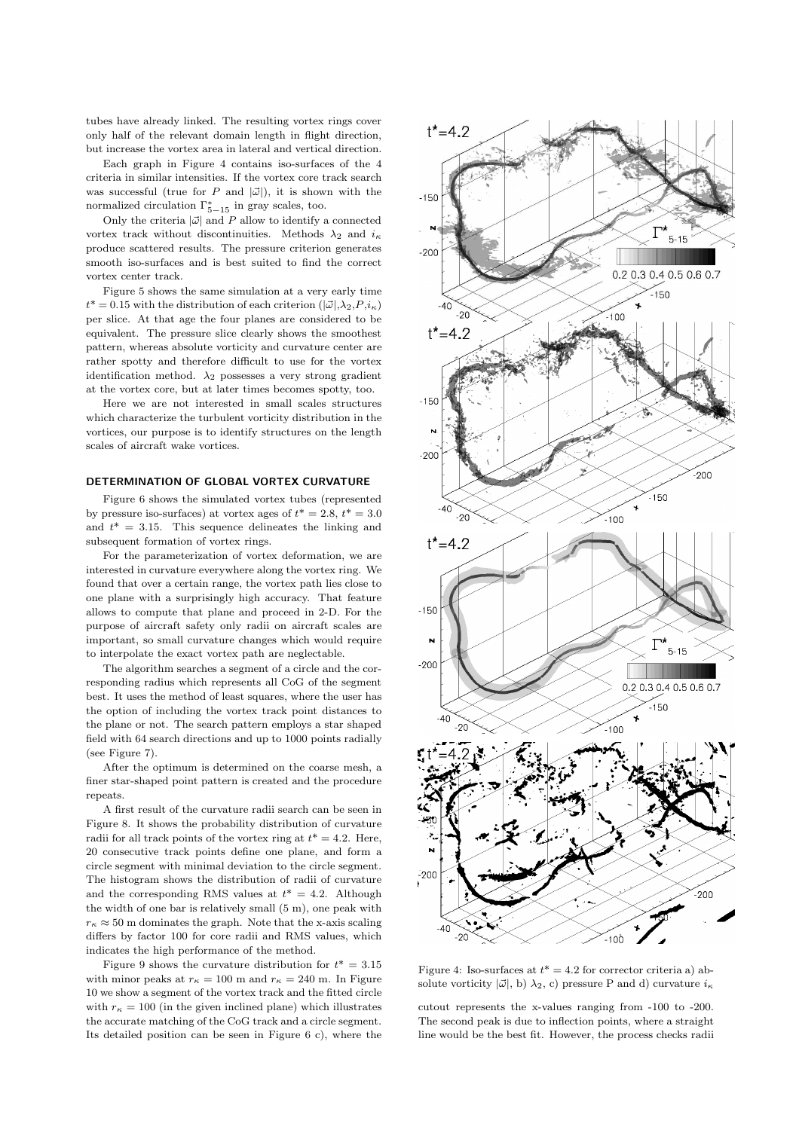tubes have already linked. The resulting vortex rings cover only half of the relevant domain length in flight direction, but increase the vortex area in lateral and vertical direction.

Each graph in Figure 4 contains iso-surfaces of the 4 criteria in similar intensities. If the vortex core track search was successful (true for P and  $|\vec{\omega}|$ ), it is shown with the normalized circulation  $\Gamma_{5-15}^*$  in gray scales, too.

Only the criteria  $|\vec{\omega}|$  and P allow to identify a connected vortex track without discontinuities. Methods  $\lambda_2$  and  $i_{\kappa}$ produce scattered results. The pressure criterion generates smooth iso-surfaces and is best suited to find the correct vortex center track.

Figure 5 shows the same simulation at a very early time  $t^* = 0.15$  with the distribution of each criterion  $(|\vec{\omega}|, \lambda_2, P, i_{\kappa})$ per slice. At that age the four planes are considered to be equivalent. The pressure slice clearly shows the smoothest pattern, whereas absolute vorticity and curvature center are rather spotty and therefore difficult to use for the vortex identification method.  $\lambda_2$  possesses a very strong gradient at the vortex core, but at later times becomes spotty, too.

Here we are not interested in small scales structures which characterize the turbulent vorticity distribution in the vortices, our purpose is to identify structures on the length scales of aircraft wake vortices.

# DETERMINATION OF GLOBAL VORTEX CURVATURE

Figure 6 shows the simulated vortex tubes (represented by pressure iso-surfaces) at vortex ages of  $t^* = 2.8, t^* = 3.0$ and  $t^* = 3.15$ . This sequence delineates the linking and subsequent formation of vortex rings.

For the parameterization of vortex deformation, we are interested in curvature everywhere along the vortex ring. We found that over a certain range, the vortex path lies close to one plane with a surprisingly high accuracy. That feature allows to compute that plane and proceed in 2-D. For the purpose of aircraft safety only radii on aircraft scales are important, so small curvature changes which would require to interpolate the exact vortex path are neglectable.

The algorithm searches a segment of a circle and the corresponding radius which represents all CoG of the segment best. It uses the method of least squares, where the user has the option of including the vortex track point distances to the plane or not. The search pattern employs a star shaped field with 64 search directions and up to 1000 points radially (see Figure 7).

After the optimum is determined on the coarse mesh, a finer star-shaped point pattern is created and the procedure repeats.

A first result of the curvature radii search can be seen in Figure 8. It shows the probability distribution of curvature radii for all track points of the vortex ring at  $t^* = 4.2$ . Here, 20 consecutive track points define one plane, and form a circle segment with minimal deviation to the circle segment. The histogram shows the distribution of radii of curvature and the corresponding RMS values at  $t^* = 4.2$ . Although the width of one bar is relatively small (5 m), one peak with  $r_{\kappa} \approx 50$  m dominates the graph. Note that the x-axis scaling differs by factor 100 for core radii and RMS values, which indicates the high performance of the method.

Figure 9 shows the curvature distribution for  $t^* = 3.15$ with minor peaks at  $r<sub>κ</sub> = 100$  m and  $r<sub>κ</sub> = 240$  m. In Figure 10 we show a segment of the vortex track and the fitted circle with  $r<sub>κ</sub> = 100$  (in the given inclined plane) which illustrates the accurate matching of the CoG track and a circle segment. Its detailed position can be seen in Figure 6 c), where the



Figure 4: Iso-surfaces at  $t^* = 4.2$  for corrector criteria a) absolute vorticity  $|\vec{\omega}|$ , b)  $\lambda_2$ , c) pressure P and d) curvature  $i_{\kappa}$ 

cutout represents the x-values ranging from -100 to -200. The second peak is due to inflection points, where a straight line would be the best fit. However, the process checks radii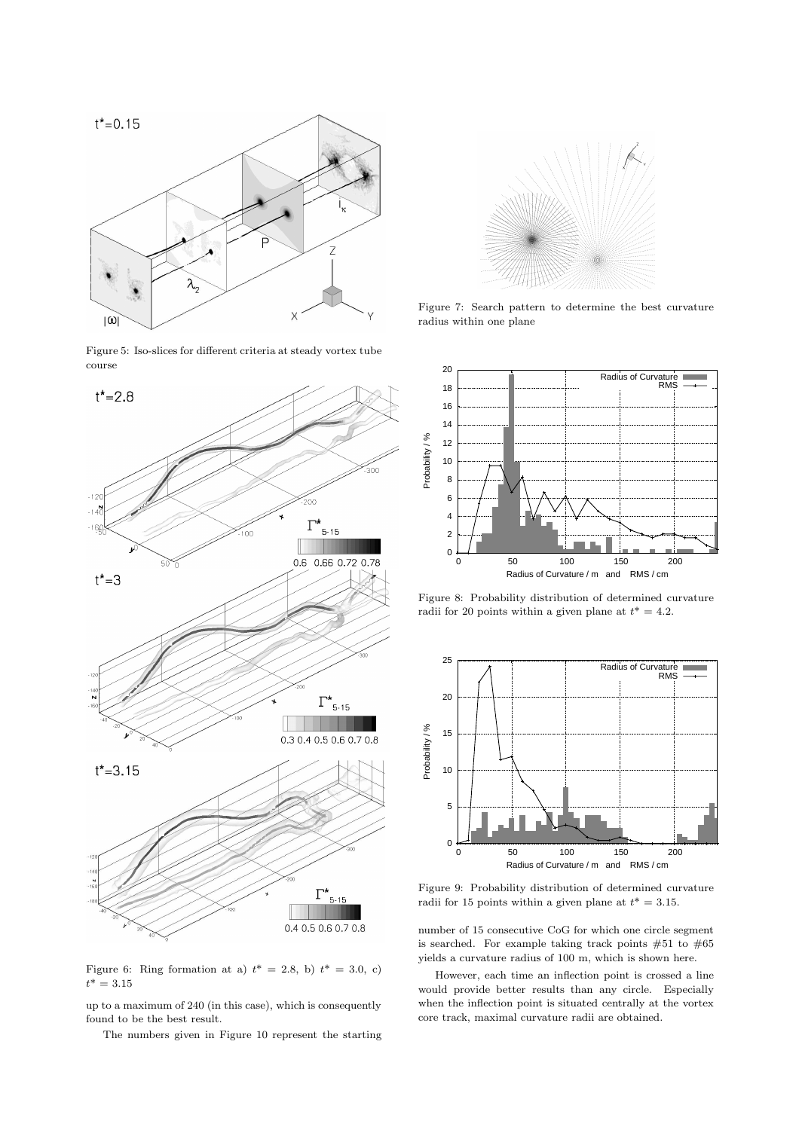

Figure 5: Iso-slices for different criteria at steady vortex tube course



Figure 6: Ring formation at a)  $t^* = 2.8$ , b)  $t^* = 3.0$ , c)  $t^* = 3.15$ 

up to a maximum of 240 (in this case), which is consequently found to be the best result.

The numbers given in Figure 10 represent the starting



Figure 7: Search pattern to determine the best curvature radius within one plane



Figure 8: Probability distribution of determined curvature radii for 20 points within a given plane at  $t^* = 4.2$ .



Figure 9: Probability distribution of determined curvature radii for 15 points within a given plane at  $t^* = 3.15$ .

number of 15 consecutive CoG for which one circle segment is searched. For example taking track points  $#51$  to  $#65$ yields a curvature radius of 100 m, which is shown here.

However, each time an inflection point is crossed a line would provide better results than any circle. Especially when the inflection point is situated centrally at the vortex core track, maximal curvature radii are obtained.